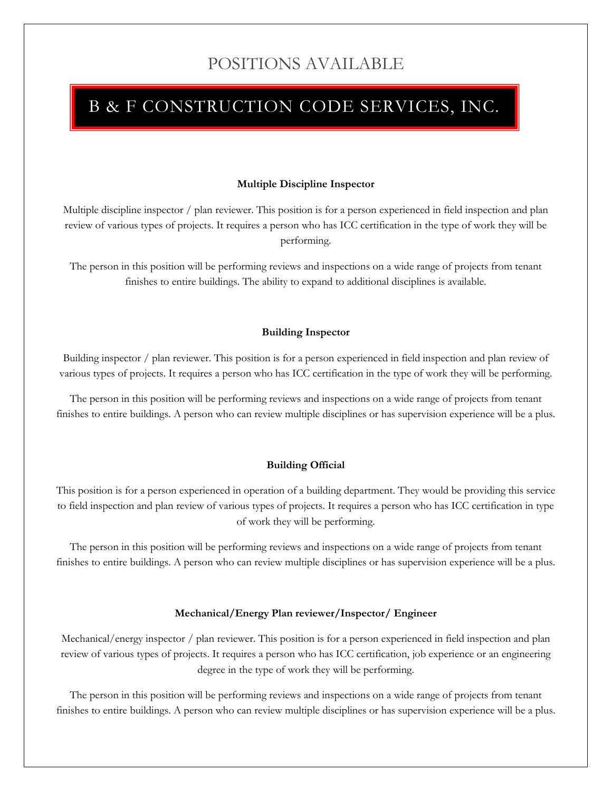# POSITIONS AVAILABLE

# B & F CONSTRUCTION CODE SERVICES, INC.

# **Multiple Discipline Inspector**

Multiple discipline inspector / plan reviewer. This position is for a person experienced in field inspection and plan review of various types of projects. It requires a person who has ICC certification in the type of work they will be performing.

The person in this position will be performing reviews and inspections on a wide range of projects from tenant finishes to entire buildings. The ability to expand to additional disciplines is available.

# **Building Inspector**

Building inspector / plan reviewer. This position is for a person experienced in field inspection and plan review of various types of projects. It requires a person who has ICC certification in the type of work they will be performing.

The person in this position will be performing reviews and inspections on a wide range of projects from tenant finishes to entire buildings. A person who can review multiple disciplines or has supervision experience will be a plus.

## **Building Official**

This position is for a person experienced in operation of a building department. They would be providing this service to field inspection and plan review of various types of projects. It requires a person who has ICC certification in type of work they will be performing.

The person in this position will be performing reviews and inspections on a wide range of projects from tenant finishes to entire buildings. A person who can review multiple disciplines or has supervision experience will be a plus.

## **Mechanical/Energy Plan reviewer/Inspector/ Engineer**

Mechanical/energy inspector / plan reviewer. This position is for a person experienced in field inspection and plan review of various types of projects. It requires a person who has ICC certification, job experience or an engineering degree in the type of work they will be performing.

The person in this position will be performing reviews and inspections on a wide range of projects from tenant finishes to entire buildings. A person who can review multiple disciplines or has supervision experience will be a plus.